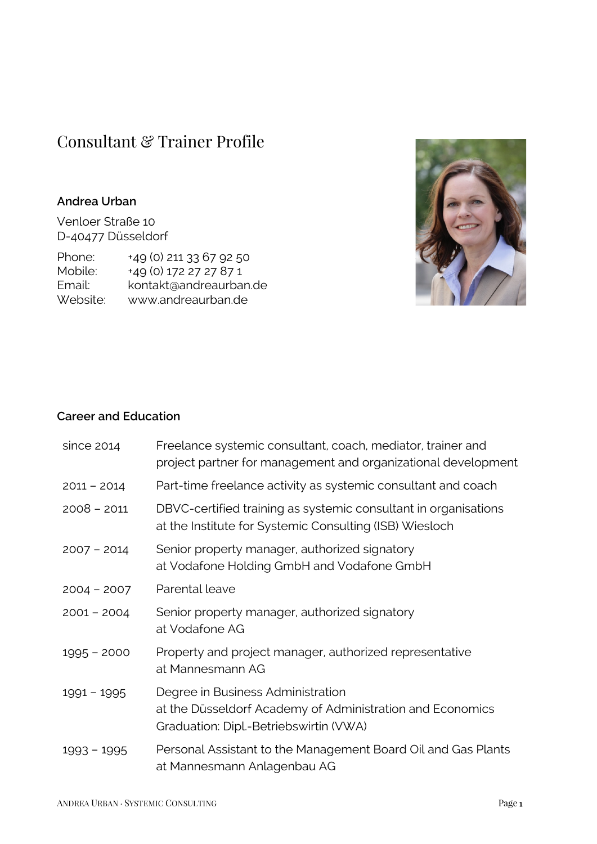# Consultant & Trainer Profile

### **Andrea Urban**

Venloer Straße 10 D-40477 Düsseldorf

Phone: +49 (0) 211 33 67 92 50 Mobile: +49 (0) 172 27 27 87 1 Email: kontakt@andreaurban.de Website: www.andreaurban.de



#### **Career and Education**

| since 2014    | Freelance systemic consultant, coach, mediator, trainer and<br>project partner for management and organizational development             |
|---------------|------------------------------------------------------------------------------------------------------------------------------------------|
| $2011 - 2014$ | Part-time freelance activity as systemic consultant and coach                                                                            |
| $2008 - 2011$ | DBVC-certified training as systemic consultant in organisations<br>at the Institute for Systemic Consulting (ISB) Wiesloch               |
| $2007 - 2014$ | Senior property manager, authorized signatory<br>at Vodafone Holding GmbH and Vodafone GmbH                                              |
| $2004 - 2007$ | Parental leave                                                                                                                           |
| $2001 - 2004$ | Senior property manager, authorized signatory<br>at Vodafone AG                                                                          |
| $1995 - 2000$ | Property and project manager, authorized representative<br>at Mannesmann AG                                                              |
| $1991 - 1995$ | Degree in Business Administration<br>at the Düsseldorf Academy of Administration and Economics<br>Graduation: Dipl.-Betriebswirtin (VWA) |
| $1993 - 1995$ | Personal Assistant to the Management Board Oil and Gas Plants<br>at Mannesmann Anlagenbau AG                                             |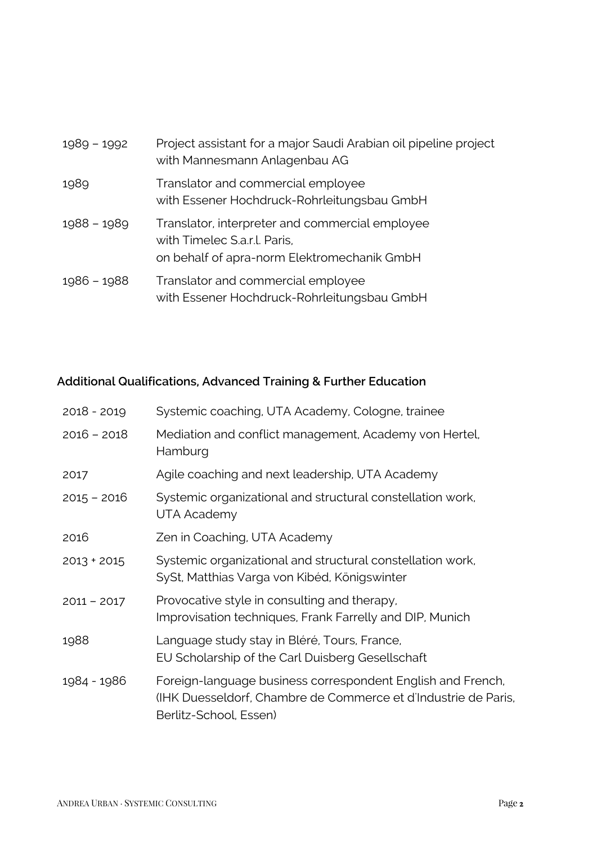| $1989 - 1992$ | Project assistant for a major Saudi Arabian oil pipeline project<br>with Mannesmann Anlagenbau AG                              |
|---------------|--------------------------------------------------------------------------------------------------------------------------------|
| 1989          | Translator and commercial employee<br>with Essener Hochdruck-Rohrleitungsbau GmbH                                              |
| $1988 - 1989$ | Translator, interpreter and commercial employee<br>with Timelec S.a.r.l. Paris,<br>on behalf of apra-norm Elektromechanik GmbH |
| 1986 - 1988   | Translator and commercial employee<br>with Essener Hochdruck-Rohrleitungsbau GmbH                                              |

# **Additional Qualifications, Advanced Training & Further Education**

| $2018 - 2019$ | Systemic coaching, UTA Academy, Cologne, trainee                                                                                                        |
|---------------|---------------------------------------------------------------------------------------------------------------------------------------------------------|
| $2016 - 2018$ | Mediation and conflict management, Academy von Hertel,<br>Hamburg                                                                                       |
| 2017          | Agile coaching and next leadership, UTA Academy                                                                                                         |
| $2015 - 2016$ | Systemic organizational and structural constellation work,<br>UTA Academy                                                                               |
| 2016          | Zen in Coaching, UTA Academy                                                                                                                            |
| $2013 + 2015$ | Systemic organizational and structural constellation work,<br>SySt, Matthias Varga von Kibéd, Königswinter                                              |
| $2011 - 2017$ | Provocative style in consulting and therapy,<br>Improvisation techniques, Frank Farrelly and DIP, Munich                                                |
| 1988          | Language study stay in Bléré, Tours, France,<br>EU Scholarship of the Carl Duisberg Gesellschaft                                                        |
| 1984 - 1986   | Foreign-language business correspondent English and French,<br>(IHK Duesseldorf, Chambre de Commerce et d'Industrie de Paris,<br>Berlitz-School, Essen) |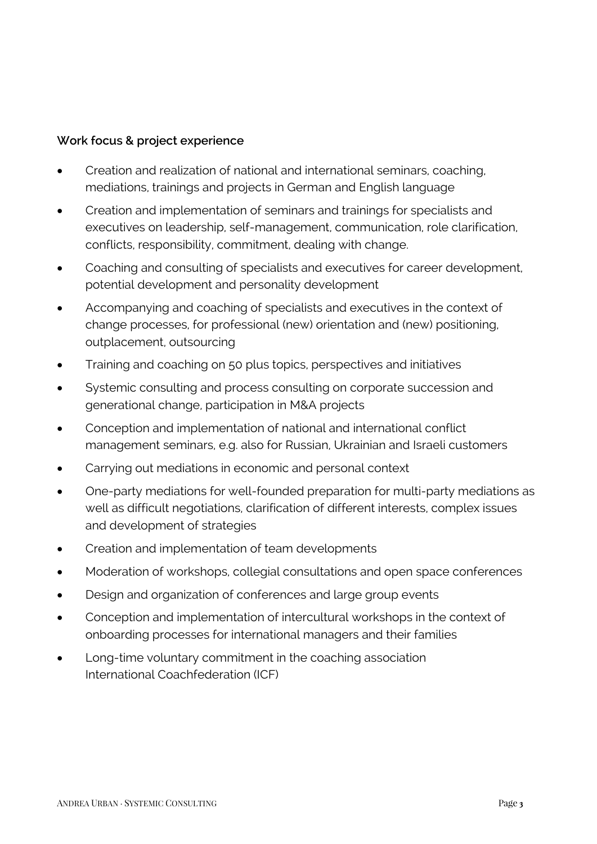## **Work focus & project experience**

- Creation and realization of national and international seminars, coaching, mediations, trainings and projects in German and English language
- Creation and implementation of seminars and trainings for specialists and executives on leadership, self-management, communication, role clarification, conflicts, responsibility, commitment, dealing with change.
- Coaching and consulting of specialists and executives for career development, potential development and personality development
- Accompanying and coaching of specialists and executives in the context of change processes, for professional (new) orientation and (new) positioning, outplacement, outsourcing
- Training and coaching on 50 plus topics, perspectives and initiatives
- Systemic consulting and process consulting on corporate succession and generational change, participation in M&A projects
- Conception and implementation of national and international conflict management seminars, e.g. also for Russian, Ukrainian and Israeli customers
- Carrying out mediations in economic and personal context
- One-party mediations for well-founded preparation for multi-party mediations as well as difficult negotiations, clarification of different interests, complex issues and development of strategies
- Creation and implementation of team developments
- Moderation of workshops, collegial consultations and open space conferences
- Design and organization of conferences and large group events
- Conception and implementation of intercultural workshops in the context of onboarding processes for international managers and their families
- Long-time voluntary commitment in the coaching association International Coachfederation (ICF)